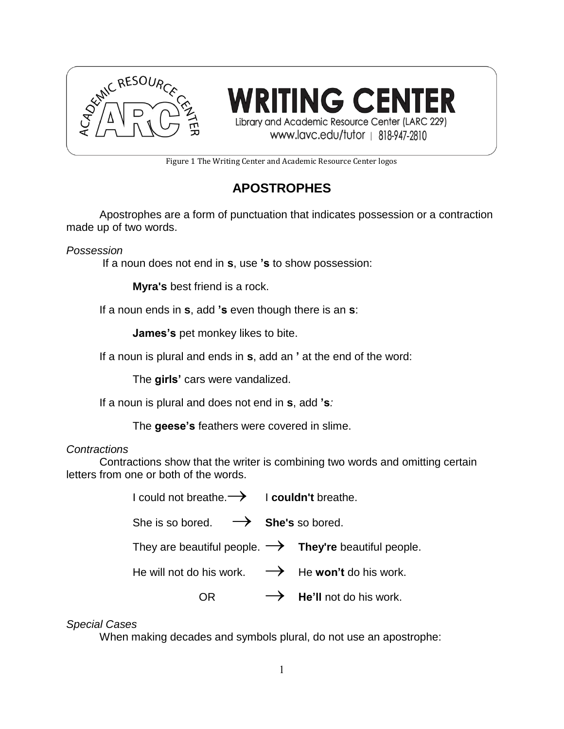

RITING CENTER Library and Academic Resource Center (LARC 229) www.lavc.edu/tutor | 818-947-2810

Figure 1 The Writing Center and Academic Resource Center logos

# **APOSTROPHES**

Apostrophes are a form of punctuation that indicates possession or a contraction made up of two words.

*Possession*

If a noun does not end in **s**, use **'s** to show possession:

**Myra's** best friend is a rock.

If a noun ends in **s**, add **'s** even though there is an **s**:

**James's** pet monkey likes to bite.

If a noun is plural and ends in **s**, add an **'** at the end of the word:

The **girls'** cars were vandalized.

If a noun is plural and does not end in **s**, add **'s***:*

The **geese's** feathers were covered in slime.

## *Contractions*

Contractions show that the writer is combining two words and omitting certain letters from one or both of the words.

I could not breathe. <sup>I</sup>**couldn't** breathe.

She is so bored.  $\rightarrow$  **She's** so bored.

They are beautiful people.  $\rightarrow$  They're beautiful people.

He will not do his work.  $\rightarrow$  He **won't** do his work.

 $OR \longrightarrow$  **He'll** not do his work.

## *Special Cases*

When making decades and symbols plural, do not use an apostrophe: